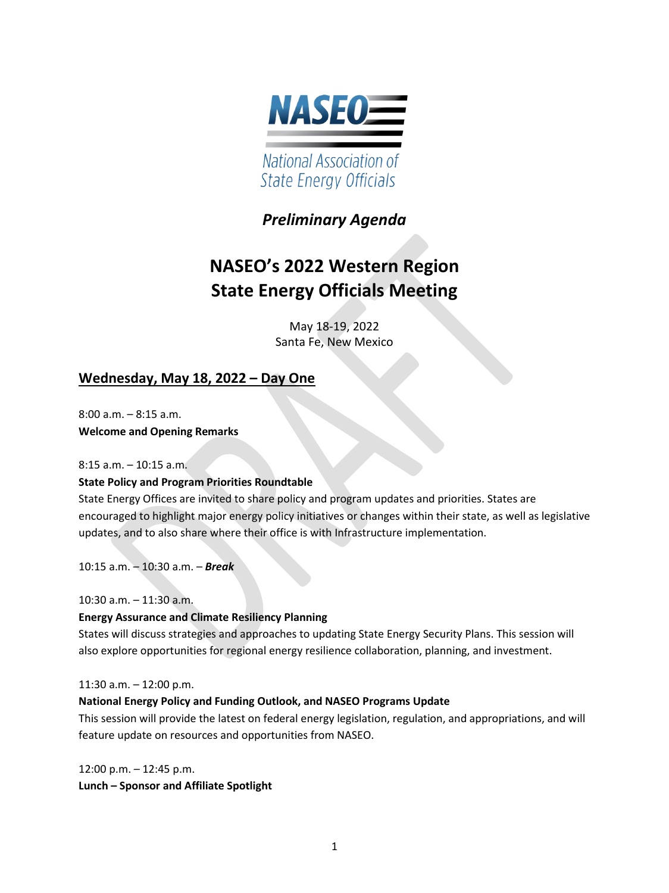

## *Preliminary Agenda*

# **NASEO's 2022 Western Region State Energy Officials Meeting**

May 18-19, 2022 Santa Fe, New Mexico

## **Wednesday, May 18, 2022 – Day One**

8:00 a.m. – 8:15 a.m. **Welcome and Opening Remarks** 

8:15 a.m. – 10:15 a.m.

#### **State Policy and Program Priorities Roundtable**

State Energy Offices are invited to share policy and program updates and priorities. States are encouraged to highlight major energy policy initiatives or changes within their state, as well as legislative updates, and to also share where their office is with Infrastructure implementation.

10:15 a.m. – 10:30 a.m. – *Break* 

10:30 a.m. – 11:30 a.m.

#### **Energy Assurance and Climate Resiliency Planning**

States will discuss strategies and approaches to updating State Energy Security Plans. This session will also explore opportunities for regional energy resilience collaboration, planning, and investment.

11:30 a.m. – 12:00 p.m.

#### **National Energy Policy and Funding Outlook, and NASEO Programs Update**

This session will provide the latest on federal energy legislation, regulation, and appropriations, and will feature update on resources and opportunities from NASEO.

12:00 p.m. – 12:45 p.m. **Lunch – Sponsor and Affiliate Spotlight**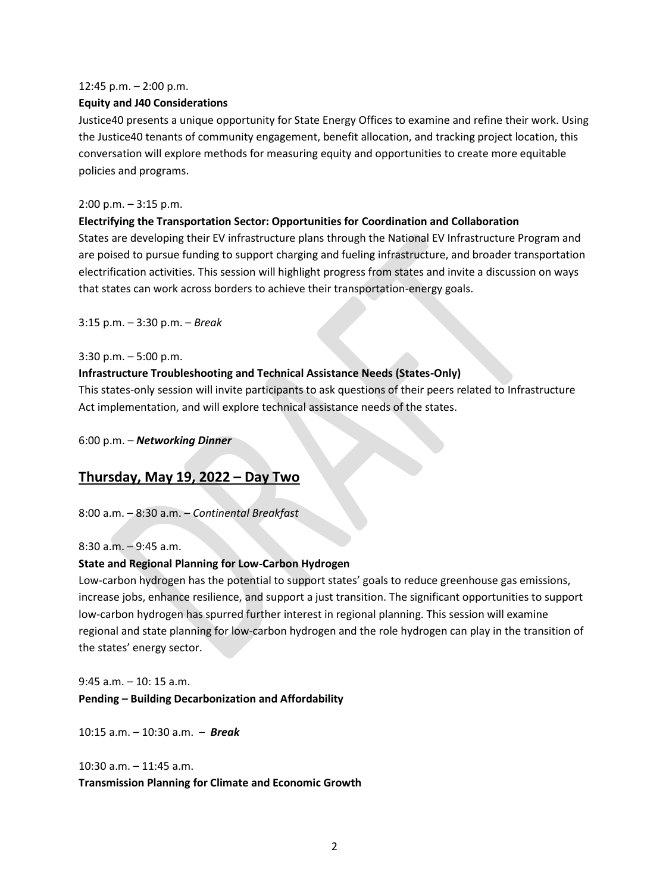#### 12:45 p.m. – 2:00 p.m.

#### **Equity and J40 Considerations**

Justice40 presents a unique opportunity for State Energy Offices to examine and refine their work. Using the Justice40 tenants of community engagement, benefit allocation, and tracking project location, this conversation will explore methods for measuring equity and opportunities to create more equitable policies and programs.

#### 2:00 p.m. – 3:15 p.m.

#### **Electrifying the Transportation Sector: Opportunities for Coordination and Collaboration**

States are developing their EV infrastructure plans through the National EV Infrastructure Program and are poised to pursue funding to support charging and fueling infrastructure, and broader transportation electrification activities. This session will highlight progress from states and invite a discussion on ways that states can work across borders to achieve their transportation-energy goals.

3:15 p.m. – 3:30 p.m. – *Break*

#### 3:30 p.m. – 5:00 p.m.

#### **Infrastructure Troubleshooting and Technical Assistance Needs (States-Only)**

This states-only session will invite participants to ask questions of their peers related to Infrastructure Act implementation, and will explore technical assistance needs of the states.

6:00 p.m. – *Networking Dinner*

### **Thursday, May 19, 2022 – Day Two**

8:00 a.m. – 8:30 a.m. – *Continental Breakfast*

#### 8:30 a.m. – 9:45 a.m.

#### **State and Regional Planning for Low-Carbon Hydrogen**

Low-carbon hydrogen has the potential to support states' goals to reduce greenhouse gas emissions, increase jobs, enhance resilience, and support a just transition. The significant opportunities to support low-carbon hydrogen has spurred further interest in regional planning. This session will examine regional and state planning for low-carbon hydrogen and the role hydrogen can play in the transition of the states' energy sector.

9:45 a.m. – 10: 15 a.m. **Pending – Building Decarbonization and Affordability** 

10:15 a.m. – 10:30 a.m. – *Break*

10:30 a.m. – 11:45 a.m. **Transmission Planning for Climate and Economic Growth**